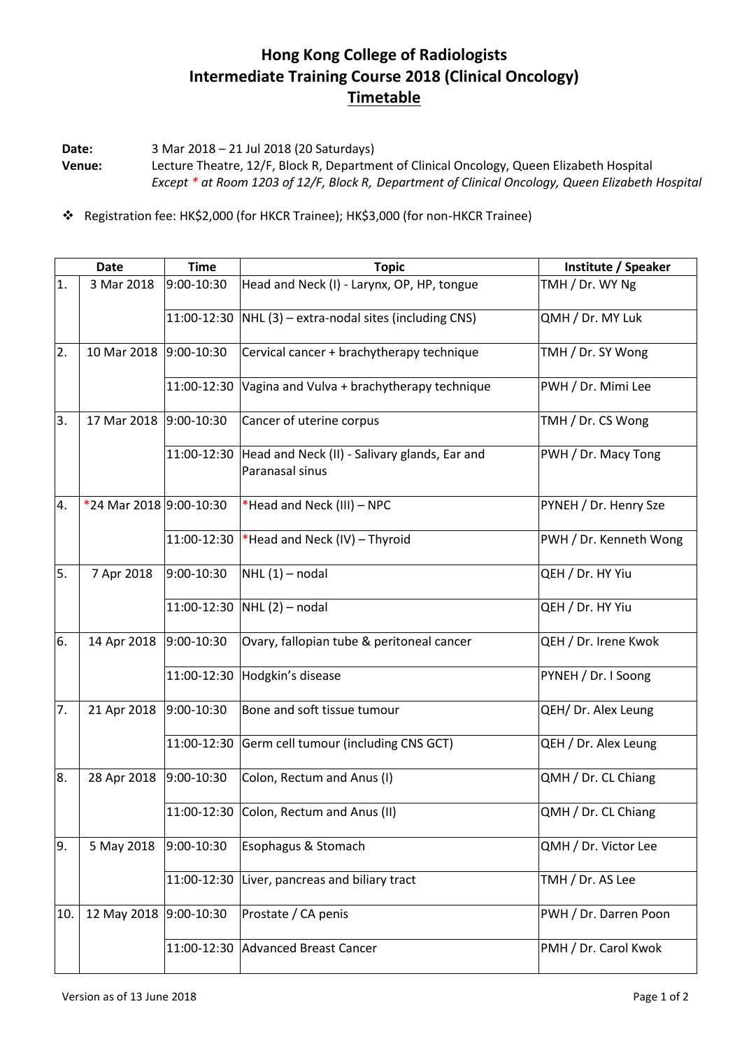## **Hong Kong College of Radiologists Intermediate Training Course 2018 (Clinical Oncology) Timetable**

**Date:** 3 Mar 2018 – 21 Jul 2018 (20 Saturdays) **Venue:** Lecture Theatre, 12/F, Block R, Department of Clinical Oncology, Queen Elizabeth Hospital *Except \* at Room 1203 of 12/F, Block R, Department of Clinical Oncology, Queen Elizabeth Hospital*

Registration fee: HK\$2,000 (for HKCR Trainee); HK\$3,000 (for non-HKCR Trainee)

|     | <b>Date</b>             | <b>Time</b>  | <b>Topic</b>                                                     | Institute / Speaker    |
|-----|-------------------------|--------------|------------------------------------------------------------------|------------------------|
| 1.  | 3 Mar 2018              | 9:00-10:30   | Head and Neck (I) - Larynx, OP, HP, tongue                       | TMH / Dr. WY Ng        |
|     |                         | 11:00-12:30  | $NHL$ (3) – extra-nodal sites (including CNS)                    | QMH / Dr. MY Luk       |
| 2.  | 10 Mar 2018             | 9:00-10:30   | Cervical cancer + brachytherapy technique                        | TMH / Dr. SY Wong      |
|     |                         | 11:00-12:30  | Vagina and Vulva + brachytherapy technique                       | PWH / Dr. Mimi Lee     |
| 3.  | 17 Mar 2018             | 9:00-10:30   | Cancer of uterine corpus                                         | TMH / Dr. CS Wong      |
|     |                         | 11:00-12:30  | Head and Neck (II) - Salivary glands, Ear and<br>Paranasal sinus | PWH / Dr. Macy Tong    |
| 4.  | *24 Mar 2018 9:00-10:30 |              | *Head and Neck (III) - NPC                                       | PYNEH / Dr. Henry Sze  |
|     |                         | 11:00-12:30  | *Head and Neck (IV) - Thyroid                                    | PWH / Dr. Kenneth Wong |
| 5.  | 7 Apr 2018              | 9:00-10:30   | $NHL(1)$ – nodal                                                 | QEH / Dr. HY Yiu       |
|     |                         | 11:00-12:30  | $NHL(2)$ – nodal                                                 | QEH / Dr. HY Yiu       |
| 6.  | 14 Apr 2018             | 9:00-10:30   | Ovary, fallopian tube & peritoneal cancer                        | QEH / Dr. Irene Kwok   |
|     |                         | 11:00-12:30  | Hodgkin's disease                                                | PYNEH / Dr. I Soong    |
| 7.  | 21 Apr 2018             | 9:00-10:30   | Bone and soft tissue tumour                                      | QEH/ Dr. Alex Leung    |
|     |                         | 11:00-12:30  | Germ cell tumour (including CNS GCT)                             | QEH / Dr. Alex Leung   |
| 8.  | 28 Apr 2018             | 9:00-10:30   | Colon, Rectum and Anus (I)                                       | QMH / Dr. CL Chiang    |
|     |                         |              | 11:00-12:30 Colon, Rectum and Anus (II)                          | QMH / Dr. CL Chiang    |
| 9.  | 5 May 2018              | 9:00-10:30   | Esophagus & Stomach                                              | QMH / Dr. Victor Lee   |
|     |                         | 11:00-12:30  | Liver, pancreas and biliary tract                                | TMH / Dr. AS Lee       |
| 10. | 12 May 2018             | $9:00-10:30$ | Prostate / CA penis                                              | PWH / Dr. Darren Poon  |
|     |                         | 11:00-12:30  | <b>Advanced Breast Cancer</b>                                    | PMH / Dr. Carol Kwok   |